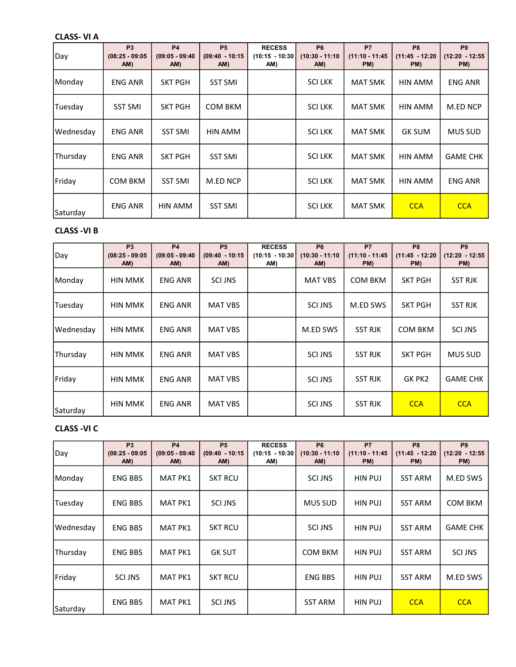#### CLASS- VI A

| Day       | P <sub>3</sub><br>$(08:25 - 09:05)$<br>AM) | <b>P4</b><br>$(09:05 - 09:40)$<br>AM) | <b>P5</b><br>$(09:40 - 10:15)$<br>AM) | <b>RECESS</b><br>$(10:15 - 10:30)$<br>AM) | P <sub>6</sub><br>$(10:30 - 11:10)$<br>AM) | P7<br>$(11:10 - 11:45)$<br>PM) | P <sub>8</sub><br>$(11:45 - 12:20)$<br>PM) | P <sub>9</sub><br>$(12:20 - 12:55$<br>PM) |
|-----------|--------------------------------------------|---------------------------------------|---------------------------------------|-------------------------------------------|--------------------------------------------|--------------------------------|--------------------------------------------|-------------------------------------------|
| Monday    | ENG ANR                                    | <b>SKT PGH</b>                        | <b>SST SMI</b>                        |                                           | <b>SCILKK</b>                              | <b>MAT SMK</b>                 | HIN AMM                                    | <b>ENG ANR</b>                            |
| Tuesday   | <b>SST SMI</b>                             | <b>SKT PGH</b>                        | COM BKM                               |                                           | SCI LKK                                    | MAT SMK                        | HIN AMM                                    | M.ED NCP                                  |
| Wednesday | <b>ENG ANR</b>                             | <b>SST SMI</b>                        | HIN AMM                               |                                           | SCI LKK                                    | MAT SMK                        | <b>GK SUM</b>                              | <b>MUS SUD</b>                            |
| Thursday  | <b>ENG ANR</b>                             | <b>SKT PGH</b>                        | <b>SST SMI</b>                        |                                           | <b>SCILKK</b>                              | <b>MAT SMK</b>                 | HIN AMM                                    | <b>GAME CHK</b>                           |
| Friday    | <b>COM BKM</b>                             | <b>SST SMI</b>                        | M.ED NCP                              |                                           | SCI LKK                                    | <b>MAT SMK</b>                 | HIN AMM                                    | <b>ENG ANR</b>                            |
| Saturday  | <b>ENG ANR</b>                             | HIN AMM                               | <b>SST SMI</b>                        |                                           | <b>SCILKK</b>                              | <b>MAT SMK</b>                 | <b>CCA</b>                                 | <b>CCA</b>                                |

## CLASS -VI B

| Day       | P <sub>3</sub><br>$(08:25 - 09:05)$<br>AM) | <b>P4</b><br>$(09:05 - 09:40)$<br>AM) | <b>P5</b><br>$(09:40 - 10:15)$<br>AM) | <b>RECESS</b><br>$(10:15 - 10:30)$<br>AM) | P <sub>6</sub><br>$(10:30 - 11:10)$<br>AM) | <b>P7</b><br>$(11:10 - 11:45)$<br>PM) | P <sub>8</sub><br>$(11:45 - 12:20)$<br>PM) | P <sub>9</sub><br>$(12:20 - 12:55$<br>PM) |
|-----------|--------------------------------------------|---------------------------------------|---------------------------------------|-------------------------------------------|--------------------------------------------|---------------------------------------|--------------------------------------------|-------------------------------------------|
| Monday    | <b>HIN MMK</b>                             | <b>ENG ANR</b>                        | <b>SCI JNS</b>                        |                                           | <b>MAT VBS</b>                             | <b>COM BKM</b>                        | <b>SKT PGH</b>                             | <b>SST RJK</b>                            |
| Tuesday   | <b>HIN MMK</b>                             | <b>ENG ANR</b>                        | <b>MAT VBS</b>                        |                                           | <b>SCI JNS</b>                             | M.ED SWS                              | <b>SKT PGH</b>                             | <b>SST RJK</b>                            |
| Wednesday | <b>HIN MMK</b>                             | <b>ENG ANR</b>                        | <b>MAT VBS</b>                        |                                           | M.ED SWS                                   | <b>SST RJK</b>                        | COM BKM                                    | SCI JNS                                   |
| Thursday  | <b>HIN MMK</b>                             | <b>ENG ANR</b>                        | <b>MAT VBS</b>                        |                                           | <b>SCI JNS</b>                             | <b>SST RJK</b>                        | <b>SKT PGH</b>                             | <b>MUS SUD</b>                            |
| Friday    | <b>HIN MMK</b>                             | <b>ENG ANR</b>                        | <b>MAT VBS</b>                        |                                           | <b>SCI JNS</b>                             | <b>SST RJK</b>                        | GK PK2                                     | <b>GAME CHK</b>                           |
| Saturday  | <b>HIN MMK</b>                             | <b>ENG ANR</b>                        | <b>MAT VBS</b>                        |                                           | <b>SCI JNS</b>                             | <b>SST RJK</b>                        | <b>CCA</b>                                 | <b>CCA</b>                                |

# CLASS -VI C

| Day       | P <sub>3</sub><br>$(08:25 - 09:05)$<br>AM) | <b>P4</b><br>$(09:05 - 09:40)$<br>AM) | <b>P5</b><br>$(09:40 - 10:15)$<br>AM) | <b>RECESS</b><br>$(10:15 - 10:30)$<br>AM) | P <sub>6</sub><br>$(10:30 - 11:10)$<br>AM) | P7<br>$(11:10 - 11:45)$<br>PM) | P <sub>8</sub><br>$(11:45 - 12:20)$<br>PM) | P <sub>9</sub><br>$(12:20 - 12:55$<br>PM) |
|-----------|--------------------------------------------|---------------------------------------|---------------------------------------|-------------------------------------------|--------------------------------------------|--------------------------------|--------------------------------------------|-------------------------------------------|
| Monday    | <b>ENG BBS</b>                             | <b>MAT PK1</b>                        | SKT RCU                               |                                           | <b>SCI JNS</b>                             | <b>HIN PUJ</b>                 | <b>SST ARM</b>                             | M.ED SWS                                  |
| Tuesday   | <b>ENG BBS</b>                             | <b>MAT PK1</b>                        | <b>SCI JNS</b>                        |                                           | MUS SUD                                    | HIN PUJ                        | <b>SST ARM</b>                             | COM BKM                                   |
| Wednesday | <b>ENG BBS</b>                             | <b>MAT PK1</b>                        | <b>SKT RCU</b>                        |                                           | <b>SCI JNS</b>                             | <b>HIN PUJ</b>                 | <b>SST ARM</b>                             | <b>GAME CHK</b>                           |
| Thursday  | <b>ENG BBS</b>                             | <b>MAT PK1</b>                        | <b>GK SUT</b>                         |                                           | COM BKM                                    | <b>HIN PUJ</b>                 | <b>SST ARM</b>                             | <b>SCI JNS</b>                            |
| Friday    | <b>SCI JNS</b>                             | <b>MAT PK1</b>                        | <b>SKT RCU</b>                        |                                           | <b>ENG BBS</b>                             | HIN PUJ                        | <b>SST ARM</b>                             | M.ED SWS                                  |
| Saturday  | <b>ENG BBS</b>                             | <b>MAT PK1</b>                        | <b>SCI JNS</b>                        |                                           | <b>SST ARM</b>                             | <b>HIN PUJ</b>                 | <b>CCA</b>                                 | <b>CCA</b>                                |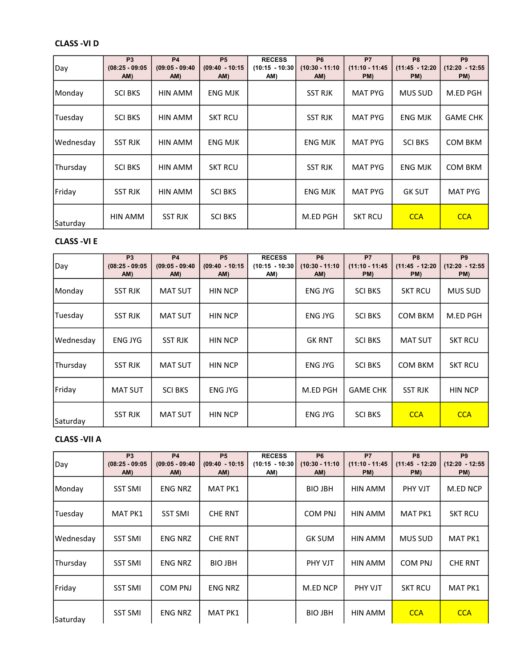# CLASS -VI D

| Day       | P <sub>3</sub><br>$(08:25 - 09:05)$<br>AM) | <b>P4</b><br>$(09:05 - 09:40)$<br>AM) | <b>P5</b><br>$(09:40 - 10:15)$<br>AM) | <b>RECESS</b><br>$(10:15 - 10:30)$<br>AM) | P <sub>6</sub><br>$(10:30 - 11:10)$<br>AM) | P7<br>$(11:10 - 11:45)$<br>PM) | P <sub>8</sub><br>$(11:45 - 12:20)$<br>PM) | P <sub>9</sub><br>$(12:20 - 12:55$<br>PM) |
|-----------|--------------------------------------------|---------------------------------------|---------------------------------------|-------------------------------------------|--------------------------------------------|--------------------------------|--------------------------------------------|-------------------------------------------|
| Monday    | <b>SCI BKS</b>                             | HIN AMM                               | <b>ENG MJK</b>                        |                                           | <b>SST RJK</b>                             | <b>MAT PYG</b>                 | <b>MUS SUD</b>                             | M.ED PGH                                  |
| Tuesday   | <b>SCI BKS</b>                             | HIN AMM                               | <b>SKT RCU</b>                        |                                           | <b>SST RJK</b>                             | <b>MAT PYG</b>                 | <b>ENG MJK</b>                             | <b>GAME CHK</b>                           |
| Wednesday | <b>SST RJK</b>                             | HIN AMM                               | ENG MJK                               |                                           | <b>ENG MJK</b>                             | <b>MAT PYG</b>                 | <b>SCI BKS</b>                             | <b>COM BKM</b>                            |
| Thursday  | <b>SCI BKS</b>                             | HIN AMM                               | <b>SKT RCU</b>                        |                                           | <b>SST RJK</b>                             | <b>MAT PYG</b>                 | <b>ENG MJK</b>                             | <b>COM BKM</b>                            |
| Friday    | <b>SST RJK</b>                             | HIN AMM                               | <b>SCI BKS</b>                        |                                           | <b>ENG MJK</b>                             | <b>MAT PYG</b>                 | <b>GK SUT</b>                              | <b>MAT PYG</b>                            |
| Saturday  | <b>HIN AMM</b>                             | <b>SST RJK</b>                        | <b>SCI BKS</b>                        |                                           | M.ED PGH                                   | <b>SKT RCU</b>                 | <b>CCA</b>                                 | <b>CCA</b>                                |

## CLASS -VI E

| Day       | P <sub>3</sub><br>$(08:25 - 09:05)$<br>AM) | <b>P4</b><br>$(09:05 - 09:40)$<br>AM) | <b>P5</b><br>$(09:40 - 10:15)$<br>AM) | <b>RECESS</b><br>$(10:15 - 10:30)$<br>AM) | P <sub>6</sub><br>$(10:30 - 11:10)$<br>AM) | <b>P7</b><br>$(11:10 - 11:45)$<br>PM) | P <sub>8</sub><br>$(11:45 - 12:20)$<br>PM) | P <sub>9</sub><br>$(12:20 - 12:55$<br>PM) |
|-----------|--------------------------------------------|---------------------------------------|---------------------------------------|-------------------------------------------|--------------------------------------------|---------------------------------------|--------------------------------------------|-------------------------------------------|
| Monday    | <b>SST RJK</b>                             | <b>MAT SUT</b>                        | <b>HIN NCP</b>                        |                                           | ENG JYG                                    | <b>SCI BKS</b>                        | <b>SKT RCU</b>                             | <b>MUS SUD</b>                            |
| Tuesday   | <b>SST RJK</b>                             | <b>MAT SUT</b>                        | <b>HIN NCP</b>                        |                                           | <b>ENG JYG</b>                             | <b>SCI BKS</b>                        | COM BKM                                    | M.ED PGH                                  |
| Wednesday | <b>ENG JYG</b>                             | <b>SST RJK</b>                        | <b>HIN NCP</b>                        |                                           | <b>GK RNT</b>                              | <b>SCI BKS</b>                        | <b>MAT SUT</b>                             | <b>SKT RCU</b>                            |
| Thursday  | <b>SST RJK</b>                             | <b>MAT SUT</b>                        | <b>HIN NCP</b>                        |                                           | ENG JYG                                    | <b>SCI BKS</b>                        | <b>COM BKM</b>                             | <b>SKT RCU</b>                            |
| Friday    | <b>MAT SUT</b>                             | <b>SCI BKS</b>                        | <b>ENG JYG</b>                        |                                           | M.ED PGH                                   | <b>GAME CHK</b>                       | <b>SST RJK</b>                             | <b>HIN NCP</b>                            |
| Saturday  | <b>SST RJK</b>                             | <b>MAT SUT</b>                        | <b>HIN NCP</b>                        |                                           | ENG JYG                                    | <b>SCI BKS</b>                        | <b>CCA</b>                                 | <b>CCA</b>                                |

## CLASS -VII A

| Day       | <b>P3</b><br>$(08:25 - 09:05)$<br>AM) | <b>P4</b><br>$(09:05 - 09:40)$<br>AM) | <b>P5</b><br>$(09:40 - 10:15)$<br>AM) | <b>RECESS</b><br>$(10:15 - 10:30)$<br>AM) | <b>P6</b><br>$(10:30 - 11:10)$<br>AM) | <b>P7</b><br>$(11:10 - 11:45)$<br>PM) | P <sub>8</sub><br>$(11:45 - 12:20)$<br>PM) | P <sub>9</sub><br>$(12:20 - 12:55$<br>PM) |
|-----------|---------------------------------------|---------------------------------------|---------------------------------------|-------------------------------------------|---------------------------------------|---------------------------------------|--------------------------------------------|-------------------------------------------|
| Monday    | <b>SST SMI</b>                        | <b>ENG NRZ</b>                        | MAT PK1                               |                                           | <b>BIO JBH</b>                        | HIN AMM                               | PHY VJT                                    | M.ED NCP                                  |
| Tuesday   | <b>MAT PK1</b>                        | <b>SST SMI</b>                        | <b>CHE RNT</b>                        |                                           | <b>COM PNJ</b>                        | HIN AMM                               | <b>MAT PK1</b>                             | <b>SKT RCU</b>                            |
| Wednesday | <b>SST SMI</b>                        | <b>ENG NRZ</b>                        | <b>CHE RNT</b>                        |                                           | <b>GK SUM</b>                         | HIN AMM                               | <b>MUS SUD</b>                             | <b>MAT PK1</b>                            |
| Thursday  | <b>SST SMI</b>                        | <b>ENG NRZ</b>                        | <b>BIO JBH</b>                        |                                           | <b>PHY VJT</b>                        | <b>HIN AMM</b>                        | COM PNJ                                    | <b>CHE RNT</b>                            |
| Friday    | <b>SST SMI</b>                        | COM PNJ                               | <b>ENG NRZ</b>                        |                                           | M.ED NCP                              | <b>PHY VJT</b>                        | <b>SKT RCU</b>                             | <b>MAT PK1</b>                            |
| Saturday  | <b>SST SMI</b>                        | <b>ENG NRZ</b>                        | <b>MAT PK1</b>                        |                                           | <b>BIO JBH</b>                        | HIN AMM                               | <b>CCA</b>                                 | <b>CCA</b>                                |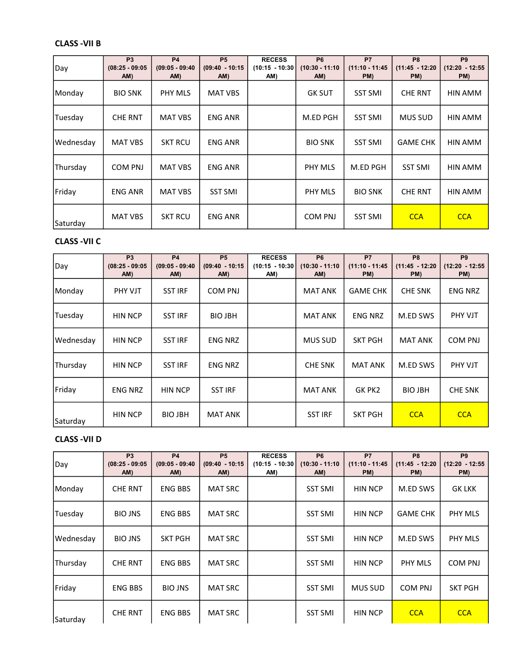# CLASS -VII B

| Day       | P <sub>3</sub><br>$(08:25 - 09:05)$<br>AM) | <b>P4</b><br>$(09:05 - 09:40)$<br>AM) | <b>P5</b><br>$(09:40 - 10:15)$<br>AM) | <b>RECESS</b><br>$(10:15 - 10:30)$<br>AM) | P <sub>6</sub><br>$(10:30 - 11:10)$<br>AM) | P7<br>$(11:10 - 11:45)$<br>PM) | P <sub>8</sub><br>$(11:45 - 12:20)$<br>PM) | P <sub>9</sub><br>$(12:20 - 12:55$<br>PM) |
|-----------|--------------------------------------------|---------------------------------------|---------------------------------------|-------------------------------------------|--------------------------------------------|--------------------------------|--------------------------------------------|-------------------------------------------|
| Monday    | <b>BIO SNK</b>                             | PHY MLS                               | MAT VBS                               |                                           | <b>GK SUT</b>                              | <b>SST SMI</b>                 | <b>CHE RNT</b>                             | HIN AMM                                   |
| Tuesday   | <b>CHE RNT</b>                             | <b>MAT VBS</b>                        | <b>ENG ANR</b>                        |                                           | M.ED PGH                                   | <b>SST SMI</b>                 | <b>MUS SUD</b>                             | HIN AMM                                   |
| Wednesday | <b>MAT VBS</b>                             | <b>SKT RCU</b>                        | <b>ENG ANR</b>                        |                                           | <b>BIO SNK</b>                             | <b>SST SMI</b>                 | <b>GAME CHK</b>                            | HIN AMM                                   |
| Thursday  | COM PNJ                                    | <b>MAT VBS</b>                        | <b>ENG ANR</b>                        |                                           | PHY MLS                                    | M.ED PGH                       | <b>SST SMI</b>                             | HIN AMM                                   |
| Friday    | <b>ENG ANR</b>                             | <b>MAT VBS</b>                        | <b>SST SMI</b>                        |                                           | PHY MLS                                    | <b>BIO SNK</b>                 | <b>CHE RNT</b>                             | HIN AMM                                   |
| Saturday  | <b>MAT VBS</b>                             | <b>SKT RCU</b>                        | <b>ENG ANR</b>                        |                                           | <b>COM PNJ</b>                             | <b>SST SMI</b>                 | <b>CCA</b>                                 | <b>CCA</b>                                |

## CLASS -VII C

| Day       | P <sub>3</sub><br>$(08:25 - 09:05)$<br>AM) | <b>P4</b><br>$(09:05 - 09:40)$<br>AM) | P <sub>5</sub><br>$(09:40 - 10:15)$<br>AM) | <b>RECESS</b><br>$(10:15 - 10:30)$<br>AM) | P <sub>6</sub><br>$(10:30 - 11:10)$<br>AM) | <b>P7</b><br>$(11:10 - 11:45)$<br>PM) | P <sub>8</sub><br>$(11:45 - 12:20)$<br>PM) | P <sub>9</sub><br>$(12:20 - 12:55$<br>PM) |
|-----------|--------------------------------------------|---------------------------------------|--------------------------------------------|-------------------------------------------|--------------------------------------------|---------------------------------------|--------------------------------------------|-------------------------------------------|
| Monday    | PHY VJT                                    | <b>SST IRF</b>                        | <b>COM PNJ</b>                             |                                           | <b>MAT ANK</b>                             | <b>GAME CHK</b>                       | <b>CHE SNK</b>                             | <b>ENG NRZ</b>                            |
| Tuesday   | <b>HIN NCP</b>                             | <b>SST IRF</b>                        | <b>BIO JBH</b>                             |                                           | <b>MAT ANK</b>                             | <b>ENG NRZ</b>                        | M.ED SWS                                   | PHY VJT                                   |
| Wednesday | <b>HIN NCP</b>                             | <b>SST IRF</b>                        | <b>ENG NRZ</b>                             |                                           | <b>MUS SUD</b>                             | <b>SKT PGH</b>                        | <b>MAT ANK</b>                             | <b>COM PNJ</b>                            |
| Thursday  | <b>HIN NCP</b>                             | <b>SST IRF</b>                        | <b>ENG NRZ</b>                             |                                           | <b>CHE SNK</b>                             | MAT ANK                               | M.ED SWS                                   | PHY VJT                                   |
| Friday    | <b>ENG NRZ</b>                             | <b>HIN NCP</b>                        | <b>SST IRF</b>                             |                                           | <b>MAT ANK</b>                             | GK PK2                                | <b>BIO JBH</b>                             | <b>CHE SNK</b>                            |
| Saturday  | <b>HIN NCP</b>                             | <b>BIO JBH</b>                        | <b>MAT ANK</b>                             |                                           | <b>SST IRF</b>                             | <b>SKT PGH</b>                        | <b>CCA</b>                                 | <b>CCA</b>                                |

## CLASS -VII D

| Day       | <b>P3</b><br>$(08:25 - 09:05)$<br>AM) | <b>P4</b><br>$(09:05 - 09:40)$<br>AM) | <b>P5</b><br>$(09:40 - 10:15)$<br>AM) | <b>RECESS</b><br>$(10:15 - 10:30)$<br>AM) | <b>P6</b><br>$(10:30 - 11:10)$<br>AM) | <b>P7</b><br>$(11:10 - 11:45)$<br>PM) | P <sub>8</sub><br>$(11:45 - 12:20)$<br>PM) | P <sub>9</sub><br>$(12:20 - 12:55$<br>PM) |
|-----------|---------------------------------------|---------------------------------------|---------------------------------------|-------------------------------------------|---------------------------------------|---------------------------------------|--------------------------------------------|-------------------------------------------|
| Monday    | <b>CHE RNT</b>                        | <b>ENG BBS</b>                        | <b>MAT SRC</b>                        |                                           | <b>SST SMI</b>                        | <b>HIN NCP</b>                        | M.ED SWS                                   | <b>GK LKK</b>                             |
| Tuesday   | <b>BIO JNS</b>                        | <b>ENG BBS</b>                        | <b>MAT SRC</b>                        |                                           | <b>SST SMI</b>                        | <b>HIN NCP</b>                        | <b>GAME CHK</b>                            | PHY MLS                                   |
| Wednesday | <b>BIO JNS</b>                        | <b>SKT PGH</b>                        | <b>MAT SRC</b>                        |                                           | <b>SST SMI</b>                        | <b>HIN NCP</b>                        | M.ED SWS                                   | PHY MLS                                   |
| Thursday  | <b>CHE RNT</b>                        | <b>ENG BBS</b>                        | <b>MAT SRC</b>                        |                                           | <b>SST SMI</b>                        | <b>HIN NCP</b>                        | <b>PHY MLS</b>                             | <b>COM PNJ</b>                            |
| Friday    | <b>ENG BBS</b>                        | <b>BIO JNS</b>                        | <b>MAT SRC</b>                        |                                           | <b>SST SMI</b>                        | <b>MUS SUD</b>                        | COM PNJ                                    | <b>SKT PGH</b>                            |
| Saturday  | <b>CHE RNT</b>                        | <b>ENG BBS</b>                        | <b>MAT SRC</b>                        |                                           | <b>SST SMI</b>                        | <b>HIN NCP</b>                        | <b>CCA</b>                                 | <b>CCA</b>                                |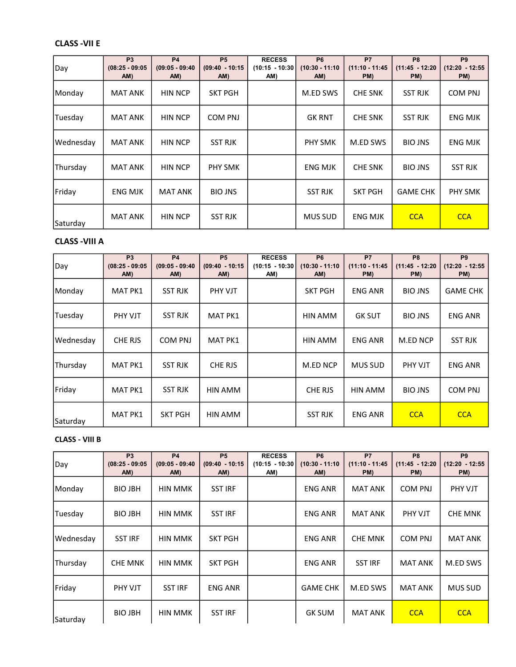# CLASS -VII E

| Day       | P <sub>3</sub><br>$(08:25 - 09:05)$<br>AM) | <b>P4</b><br>$(09:05 - 09:40)$<br>AM) | <b>P5</b><br>$(09:40 - 10:15)$<br>AM) | <b>RECESS</b><br>$(10:15 - 10:30)$<br>AM) | P <sub>6</sub><br>$(10:30 - 11:10)$<br>AM) | P7<br>$(11:10 - 11:45)$<br>PM) | P <sub>8</sub><br>$(11:45 - 12:20)$<br>PM) | P <sub>9</sub><br>$(12:20 - 12:55$<br>PM) |
|-----------|--------------------------------------------|---------------------------------------|---------------------------------------|-------------------------------------------|--------------------------------------------|--------------------------------|--------------------------------------------|-------------------------------------------|
| Monday    | <b>MAT ANK</b>                             | <b>HIN NCP</b>                        | <b>SKT PGH</b>                        |                                           | M.ED SWS                                   | <b>CHE SNK</b>                 | <b>SST RJK</b>                             | <b>COM PNJ</b>                            |
| Tuesday   | MAT ANK                                    | <b>HIN NCP</b>                        | COM PNJ                               |                                           | <b>GK RNT</b>                              | <b>CHE SNK</b>                 | <b>SST RJK</b>                             | ENG MJK                                   |
| Wednesday | MAT ANK                                    | <b>HIN NCP</b>                        | <b>SST RJK</b>                        |                                           | <b>PHY SMK</b>                             | M.ED SWS                       | <b>BIO JNS</b>                             | <b>ENG MJK</b>                            |
| Thursday  | <b>MAT ANK</b>                             | <b>HIN NCP</b>                        | <b>PHY SMK</b>                        |                                           | <b>ENG MJK</b>                             | <b>CHE SNK</b>                 | <b>BIO JNS</b>                             | <b>SST RJK</b>                            |
| Friday    | ENG MJK                                    | <b>MAT ANK</b>                        | <b>BIO JNS</b>                        |                                           | <b>SST RJK</b>                             | <b>SKT PGH</b>                 | <b>GAME CHK</b>                            | <b>PHY SMK</b>                            |
| Saturday  | <b>MAT ANK</b>                             | <b>HIN NCP</b>                        | <b>SST RJK</b>                        |                                           | <b>MUS SUD</b>                             | <b>ENG MJK</b>                 | <b>CCA</b>                                 | <b>CCA</b>                                |

## CLASS -VIII A

| Day       | P <sub>3</sub><br>$(08:25 - 09:05)$<br>AM) | <b>P4</b><br>$(09:05 - 09:40)$<br>AM) | <b>P5</b><br>$(09:40 - 10:15)$<br>AM) | <b>RECESS</b><br>$(10:15 - 10:30)$<br>AM) | P <sub>6</sub><br>$(10:30 - 11:10)$<br>AM) | <b>P7</b><br>$(11:10 - 11:45)$<br>PM) | P <sub>8</sub><br>$(11:45 - 12:20)$<br>PM) | P <sub>9</sub><br>$(12:20 - 12:55$<br>PM) |
|-----------|--------------------------------------------|---------------------------------------|---------------------------------------|-------------------------------------------|--------------------------------------------|---------------------------------------|--------------------------------------------|-------------------------------------------|
| Monday    | MAT PK1                                    | <b>SST RJK</b>                        | <b>PHY VJT</b>                        |                                           | <b>SKT PGH</b>                             | <b>ENG ANR</b>                        | <b>BIO JNS</b>                             | <b>GAME CHK</b>                           |
| Tuesday   | PHY VJT                                    | <b>SST RJK</b>                        | MAT PK1                               |                                           | HIN AMM                                    | <b>GK SUT</b>                         | <b>BIO JNS</b>                             | <b>ENG ANR</b>                            |
| Wednesday | CHE RJS                                    | <b>COM PNJ</b>                        | <b>MAT PK1</b>                        |                                           | HIN AMM                                    | <b>ENG ANR</b>                        | M.ED NCP                                   | <b>SST RJK</b>                            |
| Thursday  | <b>MAT PK1</b>                             | <b>SST RJK</b>                        | CHE RJS                               |                                           | M.ED NCP                                   | <b>MUS SUD</b>                        | PHY VJT                                    | <b>ENG ANR</b>                            |
| Friday    | <b>MAT PK1</b>                             | <b>SST RJK</b>                        | HIN AMM                               |                                           | CHE RJS                                    | HIN AMM                               | <b>BIO JNS</b>                             | <b>COM PNJ</b>                            |
| Saturday  | <b>MAT PK1</b>                             | <b>SKT PGH</b>                        | HIN AMM                               |                                           | <b>SST RJK</b>                             | <b>ENG ANR</b>                        | <b>CCA</b>                                 | <b>CCA</b>                                |

### CLASS - VIII B

| Day       | <b>P3</b><br>$(08:25 - 09:05)$<br>AM) | <b>P4</b><br>$(09:05 - 09:40)$<br>AM) | <b>P5</b><br>$(09:40 - 10:15)$<br>AM) | <b>RECESS</b><br>$(10:15 - 10:30)$<br>AM) | <b>P6</b><br>$(10:30 - 11:10)$<br>AM) | <b>P7</b><br>$(11:10 - 11:45)$<br>PM) | P <sub>8</sub><br>$(11:45 - 12:20)$<br>PM) | P <sub>9</sub><br>$(12:20 - 12:55$<br>PM) |
|-----------|---------------------------------------|---------------------------------------|---------------------------------------|-------------------------------------------|---------------------------------------|---------------------------------------|--------------------------------------------|-------------------------------------------|
| Monday    | <b>BIO JBH</b>                        | <b>HIN MMK</b>                        | <b>SST IRF</b>                        |                                           | <b>ENG ANR</b>                        | <b>MAT ANK</b>                        | <b>COM PNJ</b>                             | PHY VJT                                   |
| Tuesday   | <b>BIO JBH</b>                        | <b>HIN MMK</b>                        | <b>SST IRF</b>                        |                                           | <b>ENG ANR</b>                        | <b>MAT ANK</b>                        | PHY VJT                                    | <b>CHE MNK</b>                            |
| Wednesday | <b>SST IRF</b>                        | <b>HIN MMK</b>                        | <b>SKT PGH</b>                        |                                           | <b>ENG ANR</b>                        | <b>CHE MNK</b>                        | <b>COM PNJ</b>                             | <b>MAT ANK</b>                            |
| Thursday  | <b>CHE MNK</b>                        | <b>HIN MMK</b>                        | <b>SKT PGH</b>                        |                                           | <b>ENG ANR</b>                        | <b>SST IRF</b>                        | <b>MAT ANK</b>                             | M.ED SWS                                  |
| Friday    | PHY VJT                               | <b>SST IRF</b>                        | ENG ANR                               |                                           | <b>GAME CHK</b>                       | M.ED SWS                              | <b>MAT ANK</b>                             | <b>MUS SUD</b>                            |
| Saturday  | <b>BIO JBH</b>                        | <b>HIN MMK</b>                        | <b>SST IRF</b>                        |                                           | <b>GK SUM</b>                         | <b>MAT ANK</b>                        | <b>CCA</b>                                 | <b>CCA</b>                                |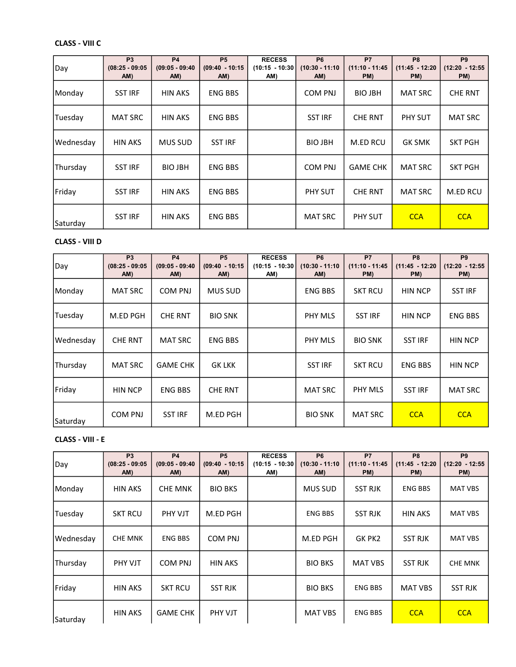# CLASS - VIII C

| Day       | P <sub>3</sub><br>$(08:25 - 09:05)$<br>AM) | <b>P4</b><br>$(09:05 - 09:40)$<br>AM) | <b>P5</b><br>$(09:40 - 10:15)$<br>AM) | <b>RECESS</b><br>$(10:15 - 10:30)$<br>AM) | P <sub>6</sub><br>$(10:30 - 11:10)$<br>AM) | P7<br>$(11:10 - 11:45)$<br>PM) | P <sub>8</sub><br>$(11:45 - 12:20)$<br>PM) | P <sub>9</sub><br>$(12:20 - 12:55$<br>PM) |
|-----------|--------------------------------------------|---------------------------------------|---------------------------------------|-------------------------------------------|--------------------------------------------|--------------------------------|--------------------------------------------|-------------------------------------------|
| Monday    | <b>SST IRF</b>                             | <b>HIN AKS</b>                        | <b>ENG BBS</b>                        |                                           | COM PNJ                                    | <b>BIO JBH</b>                 | <b>MAT SRC</b>                             | <b>CHE RNT</b>                            |
| Tuesday   | <b>MAT SRC</b>                             | <b>HIN AKS</b>                        | <b>ENG BBS</b>                        |                                           | <b>SST IRF</b>                             | <b>CHE RNT</b>                 | PHY SUT                                    | <b>MAT SRC</b>                            |
| Wednesday | <b>HIN AKS</b>                             | <b>MUS SUD</b>                        | <b>SST IRF</b>                        |                                           | <b>BIO JBH</b>                             | M.ED RCU                       | <b>GK SMK</b>                              | <b>SKT PGH</b>                            |
| Thursday  | <b>SST IRF</b>                             | <b>BIO JBH</b>                        | <b>ENG BBS</b>                        |                                           | <b>COM PNJ</b>                             | <b>GAME CHK</b>                | <b>MAT SRC</b>                             | <b>SKT PGH</b>                            |
| Friday    | <b>SST IRF</b>                             | <b>HIN AKS</b>                        | <b>ENG BBS</b>                        |                                           | PHY SUT                                    | <b>CHE RNT</b>                 | <b>MAT SRC</b>                             | M.ED RCU                                  |
| Saturday  | <b>SST IRF</b>                             | <b>HIN AKS</b>                        | <b>ENG BBS</b>                        |                                           | <b>MAT SRC</b>                             | <b>PHY SUT</b>                 | <b>CCA</b>                                 | <b>CCA</b>                                |

### CLASS - VIII D

| Day       | P <sub>3</sub><br>$(08:25 - 09:05)$<br>AM) | <b>P4</b><br>$(09:05 - 09:40)$<br>AM) | <b>P5</b><br>$(09:40 - 10:15)$<br>AM) | <b>RECESS</b><br>$(10:15 - 10:30)$<br>AM) | P <sub>6</sub><br>$(10:30 - 11:10)$<br>AM) | <b>P7</b><br>$(11:10 - 11:45)$<br>PM) | P <sub>8</sub><br>$(11:45 - 12:20)$<br>PM) | P <sub>9</sub><br>$(12:20 - 12:55$<br>PM) |
|-----------|--------------------------------------------|---------------------------------------|---------------------------------------|-------------------------------------------|--------------------------------------------|---------------------------------------|--------------------------------------------|-------------------------------------------|
| Monday    | <b>MAT SRC</b>                             | <b>COM PNJ</b>                        | <b>MUS SUD</b>                        |                                           | <b>ENG BBS</b>                             | <b>SKT RCU</b>                        | <b>HIN NCP</b>                             | <b>SST IRF</b>                            |
| Tuesday   | M.ED PGH                                   | <b>CHE RNT</b>                        | <b>BIO SNK</b>                        |                                           | PHY MLS                                    | <b>SST IRF</b>                        | <b>HIN NCP</b>                             | <b>ENG BBS</b>                            |
| Wednesday | <b>CHE RNT</b>                             | <b>MAT SRC</b>                        | <b>ENG BBS</b>                        |                                           | PHY MLS                                    | <b>BIO SNK</b>                        | <b>SST IRF</b>                             | <b>HIN NCP</b>                            |
| Thursday  | <b>MAT SRC</b>                             | <b>GAME CHK</b>                       | <b>GK LKK</b>                         |                                           | <b>SST IRF</b>                             | <b>SKT RCU</b>                        | <b>ENG BBS</b>                             | <b>HIN NCP</b>                            |
| Friday    | <b>HIN NCP</b>                             | <b>ENG BBS</b>                        | <b>CHE RNT</b>                        |                                           | <b>MAT SRC</b>                             | <b>PHY MLS</b>                        | <b>SST IRF</b>                             | <b>MAT SRC</b>                            |
| Saturday  | <b>COM PNJ</b>                             | <b>SST IRF</b>                        | M.ED PGH                              |                                           | <b>BIO SNK</b>                             | <b>MAT SRC</b>                        | <b>CCA</b>                                 | <b>CCA</b>                                |

#### CLASS - VIII - E

| Day       | <b>P3</b><br>$(08:25 - 09:05)$<br>AM) | <b>P4</b><br>$(09:05 - 09:40)$<br>AM) | <b>P5</b><br>$(09:40 - 10:15)$<br>AM) | <b>RECESS</b><br>$(10:15 - 10:30)$<br>AM) | <b>P6</b><br>$(10:30 - 11:10)$<br>AM) | <b>P7</b><br>$(11:10 - 11:45)$<br>PM) | P <sub>8</sub><br>$(11:45 - 12:20)$<br>PM) | P <sub>9</sub><br>$(12:20 - 12:55$<br>PM) |
|-----------|---------------------------------------|---------------------------------------|---------------------------------------|-------------------------------------------|---------------------------------------|---------------------------------------|--------------------------------------------|-------------------------------------------|
| Monday    | <b>HIN AKS</b>                        | <b>CHE MNK</b>                        | <b>BIO BKS</b>                        |                                           | <b>MUS SUD</b>                        | <b>SST RJK</b>                        | <b>ENG BBS</b>                             | <b>MAT VBS</b>                            |
| Tuesday   | <b>SKT RCU</b>                        | PHY VJT                               | M.ED PGH                              |                                           | <b>ENG BBS</b>                        | <b>SST RJK</b>                        | <b>HIN AKS</b>                             | <b>MAT VBS</b>                            |
| Wednesday | <b>CHE MNK</b>                        | ENG BBS                               | <b>COM PNJ</b>                        |                                           | M.ED PGH                              | GK PK2                                | <b>SST RJK</b>                             | <b>MAT VBS</b>                            |
| Thursday  | PHY VJT                               | <b>COM PNJ</b>                        | <b>HIN AKS</b>                        |                                           | <b>BIO BKS</b>                        | <b>MAT VBS</b>                        | <b>SST RJK</b>                             | <b>CHE MNK</b>                            |
| Friday    | <b>HIN AKS</b>                        | <b>SKT RCU</b>                        | <b>SST RJK</b>                        |                                           | <b>BIO BKS</b>                        | <b>ENG BBS</b>                        | <b>MAT VBS</b>                             | <b>SST RJK</b>                            |
| Saturday  | <b>HIN AKS</b>                        | <b>GAME CHK</b>                       | PHY VJT                               |                                           | <b>MAT VBS</b>                        | <b>ENG BBS</b>                        | <b>CCA</b>                                 | <b>CCA</b>                                |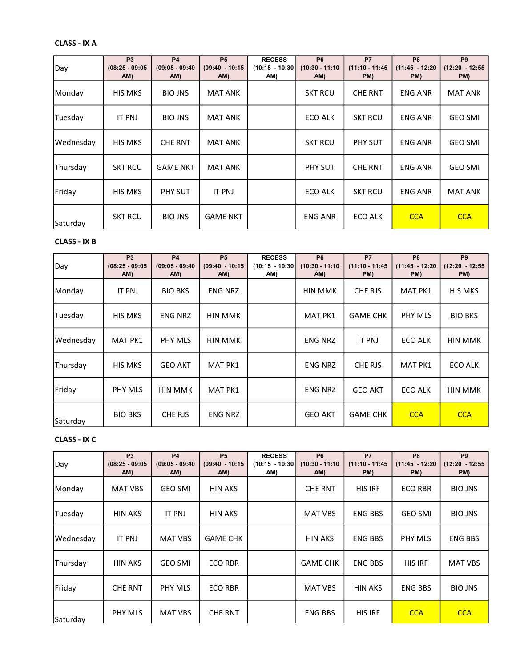### CLASS - IX A

| Day       | P <sub>3</sub><br>$(08:25 - 09:05)$<br>AM) | <b>P4</b><br>$(09:05 - 09:40)$<br>AM) | <b>P5</b><br>$(09:40 - 10:15)$<br>AM) | <b>RECESS</b><br>$(10:15 - 10:30)$<br>AM) | P <sub>6</sub><br>$(10:30 - 11:10)$<br>AM) | <b>P7</b><br>$(11:10 - 11:45)$<br>PM) | P <sub>8</sub><br>$(11:45 - 12:20)$<br>PM) | P <sub>9</sub><br>(12:20 - 12:55<br>PM) |
|-----------|--------------------------------------------|---------------------------------------|---------------------------------------|-------------------------------------------|--------------------------------------------|---------------------------------------|--------------------------------------------|-----------------------------------------|
| Monday    | <b>HIS MKS</b>                             | <b>BIO JNS</b>                        | <b>MAT ANK</b>                        |                                           | <b>SKT RCU</b>                             | <b>CHE RNT</b>                        | <b>ENG ANR</b>                             | <b>MAT ANK</b>                          |
| Tuesday   | IT PNJ                                     | <b>BIO JNS</b>                        | <b>MAT ANK</b>                        |                                           | ECO ALK                                    | <b>SKT RCU</b>                        | <b>ENG ANR</b>                             | <b>GEO SMI</b>                          |
| Wednesday | <b>HIS MKS</b>                             | <b>CHE RNT</b>                        | <b>MAT ANK</b>                        |                                           | <b>SKT RCU</b>                             | <b>PHY SUT</b>                        | <b>ENG ANR</b>                             | <b>GEO SMI</b>                          |
| Thursday  | <b>SKT RCU</b>                             | <b>GAME NKT</b>                       | <b>MAT ANK</b>                        |                                           | PHY SUT                                    | <b>CHE RNT</b>                        | <b>ENG ANR</b>                             | <b>GEO SMI</b>                          |
| Friday    | <b>HIS MKS</b>                             | <b>PHY SUT</b>                        | <b>IT PNJ</b>                         |                                           | ECO ALK                                    | <b>SKT RCU</b>                        | <b>ENG ANR</b>                             | <b>MAT ANK</b>                          |
| Saturday  | <b>SKT RCU</b>                             | <b>BIO JNS</b>                        | <b>GAME NKT</b>                       |                                           | <b>ENG ANR</b>                             | <b>ECO ALK</b>                        | <b>CCA</b>                                 | <b>CCA</b>                              |

## CLASS - IX B

| Day       | P <sub>3</sub><br>$(08:25 - 09:05)$<br>AM) | <b>P4</b><br>$(09:05 - 09:40)$<br>AM) | <b>P5</b><br>$(09:40 - 10:15)$<br>AM) | <b>RECESS</b><br>$(10:15 - 10:30)$<br>AM) | P <sub>6</sub><br>$(10:30 - 11:10)$<br>AM) | <b>P7</b><br>$(11:10 - 11:45)$<br>PM) | P <sub>8</sub><br>$(11:45 - 12:20)$<br>PM) | P <sub>9</sub><br>$(12:20 - 12:55$<br>PM) |
|-----------|--------------------------------------------|---------------------------------------|---------------------------------------|-------------------------------------------|--------------------------------------------|---------------------------------------|--------------------------------------------|-------------------------------------------|
| Monday    | <b>IT PNJ</b>                              | <b>BIO BKS</b>                        | <b>ENG NRZ</b>                        |                                           | <b>HIN MMK</b>                             | CHE RJS                               | <b>MAT PK1</b>                             | <b>HIS MKS</b>                            |
| Tuesday   | <b>HIS MKS</b>                             | <b>ENG NRZ</b>                        | HIN MMK                               |                                           | <b>MAT PK1</b>                             | <b>GAME CHK</b>                       | PHY MLS                                    | <b>BIO BKS</b>                            |
| Wednesday | <b>MAT PK1</b>                             | PHY MLS                               | HIN MMK                               |                                           | <b>ENG NRZ</b>                             | <b>IT PNJ</b>                         | ECO ALK                                    | <b>HIN MMK</b>                            |
| Thursday  | <b>HIS MKS</b>                             | <b>GEO AKT</b>                        | <b>MAT PK1</b>                        |                                           | <b>ENG NRZ</b>                             | CHE RJS                               | <b>MAT PK1</b>                             | ECO ALK                                   |
| Friday    | PHY MLS                                    | <b>HIN MMK</b>                        | <b>MAT PK1</b>                        |                                           | <b>ENG NRZ</b>                             | <b>GEO AKT</b>                        | ECO ALK                                    | <b>HIN MMK</b>                            |
| Saturday  | <b>BIO BKS</b>                             | CHE RJS                               | <b>ENG NRZ</b>                        |                                           | <b>GEO AKT</b>                             | <b>GAME CHK</b>                       | <b>CCA</b>                                 | <b>CCA</b>                                |

#### CLASS - IX C

| Day       | <b>P3</b><br>$(08:25 - 09:05)$<br>AM) | <b>P4</b><br>$(09:05 - 09:40)$<br>AM) | <b>P5</b><br>$(09:40 - 10:15)$<br>AM) | <b>RECESS</b><br>$(10:15 - 10:30)$<br>AM) | <b>P6</b><br>$(10:30 - 11:10)$<br>AM) | <b>P7</b><br>$(11:10 - 11:45)$<br>PM) | P <sub>8</sub><br>$(11:45 - 12:20)$<br>PM) | P <sub>9</sub><br>$(12:20 - 12:55$<br>PM) |
|-----------|---------------------------------------|---------------------------------------|---------------------------------------|-------------------------------------------|---------------------------------------|---------------------------------------|--------------------------------------------|-------------------------------------------|
| Monday    | <b>MAT VBS</b>                        | <b>GEO SMI</b>                        | <b>HIN AKS</b>                        |                                           | <b>CHE RNT</b>                        | <b>HIS IRF</b>                        | <b>ECO RBR</b>                             | <b>BIO JNS</b>                            |
| Tuesday   | <b>HIN AKS</b>                        | IT PNJ                                | <b>HIN AKS</b>                        |                                           | <b>MAT VBS</b>                        | <b>ENG BBS</b>                        | <b>GEO SMI</b>                             | <b>BIO JNS</b>                            |
| Wednesday | <b>IT PNJ</b>                         | <b>MAT VBS</b>                        | <b>GAME CHK</b>                       |                                           | <b>HIN AKS</b>                        | <b>ENG BBS</b>                        | <b>PHY MLS</b>                             | <b>ENG BBS</b>                            |
| Thursday  | <b>HIN AKS</b>                        | <b>GEO SMI</b>                        | <b>ECO RBR</b>                        |                                           | <b>GAME CHK</b>                       | <b>ENG BBS</b>                        | <b>HIS IRF</b>                             | <b>MAT VBS</b>                            |
| Friday    | <b>CHE RNT</b>                        | PHY MLS                               | <b>ECO RBR</b>                        |                                           | <b>MAT VBS</b>                        | <b>HIN AKS</b>                        | <b>ENG BBS</b>                             | <b>BIO JNS</b>                            |
| Saturday  | PHY MLS                               | <b>MAT VBS</b>                        | <b>CHE RNT</b>                        |                                           | <b>ENG BBS</b>                        | <b>HIS IRF</b>                        | <b>CCA</b>                                 | <b>CCA</b>                                |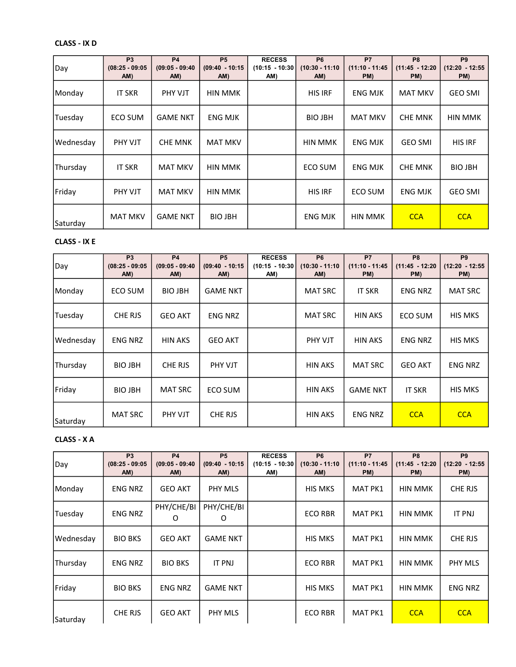# CLASS - IX D

| Day       | P <sub>3</sub><br>$(08:25 - 09:05)$<br>AM) | <b>P4</b><br>$(09:05 - 09:40)$<br>AM) | <b>P5</b><br>$(09:40 - 10:15)$<br>AM) | <b>RECESS</b><br>$(10:15 - 10:30)$<br>AM) | P <sub>6</sub><br>$(10:30 - 11:10)$<br>AM) | P7<br>$(11:10 - 11:45)$<br>PM) | P <sub>8</sub><br>$(11:45 - 12:20)$<br>PM) | P <sub>9</sub><br>$(12:20 - 12:55$<br>PM) |
|-----------|--------------------------------------------|---------------------------------------|---------------------------------------|-------------------------------------------|--------------------------------------------|--------------------------------|--------------------------------------------|-------------------------------------------|
| Monday    | <b>IT SKR</b>                              | <b>PHY VJT</b>                        | HIN MMK                               |                                           | <b>HIS IRF</b>                             | <b>ENG MJK</b>                 | <b>MAT MKV</b>                             | <b>GEO SMI</b>                            |
| Tuesday   | ECO SUM                                    | <b>GAME NKT</b>                       | <b>ENG MJK</b>                        |                                           | <b>BIO JBH</b>                             | <b>MAT MKV</b>                 | <b>CHE MNK</b>                             | HIN MMK                                   |
| Wednesday | PHY VJT                                    | <b>CHE MNK</b>                        | <b>MAT MKV</b>                        |                                           | HIN MMK                                    | <b>ENG MJK</b>                 | <b>GEO SMI</b>                             | <b>HIS IRF</b>                            |
| Thursday  | <b>IT SKR</b>                              | <b>MAT MKV</b>                        | HIN MMK                               |                                           | ECO SUM                                    | <b>ENG MJK</b>                 | <b>CHE MNK</b>                             | <b>BIO JBH</b>                            |
| Friday    | PHY VJT                                    | <b>MAT MKV</b>                        | <b>HIN MMK</b>                        |                                           | <b>HIS IRF</b>                             | ECO SUM                        | <b>ENG MJK</b>                             | <b>GEO SMI</b>                            |
| Saturday  | <b>MAT MKV</b>                             | <b>GAME NKT</b>                       | <b>BIO JBH</b>                        |                                           | <b>ENG MJK</b>                             | <b>HIN MMK</b>                 | <b>CCA</b>                                 | <b>CCA</b>                                |

## CLASS - IX E

| Day       | P <sub>3</sub><br>$(08:25 - 09:05)$<br>AM) | <b>P4</b><br>$(09:05 - 09:40)$<br>AM) | <b>P5</b><br>$(09:40 - 10:15)$<br>AM) | <b>RECESS</b><br>$(10:15 - 10:30)$<br>AM) | P <sub>6</sub><br>$(10:30 - 11:10)$<br>AM) | P7<br>$(11:10 - 11:45)$<br>PM) | P <sub>8</sub><br>$(11:45 - 12:20)$<br>PM) | P <sub>9</sub><br>$(12:20 - 12:55$<br>PM) |
|-----------|--------------------------------------------|---------------------------------------|---------------------------------------|-------------------------------------------|--------------------------------------------|--------------------------------|--------------------------------------------|-------------------------------------------|
| Monday    | ECO SUM                                    | <b>BIO JBH</b>                        | <b>GAME NKT</b>                       |                                           | <b>MAT SRC</b>                             | <b>IT SKR</b>                  | <b>ENG NRZ</b>                             | <b>MAT SRC</b>                            |
| Tuesday   | CHE RJS                                    | <b>GEO AKT</b>                        | <b>ENG NRZ</b>                        |                                           | <b>MAT SRC</b>                             | <b>HIN AKS</b>                 | ECO SUM                                    | <b>HIS MKS</b>                            |
| Wednesday | <b>ENG NRZ</b>                             | <b>HIN AKS</b>                        | <b>GEO AKT</b>                        |                                           | <b>PHY VJT</b>                             | <b>HIN AKS</b>                 | <b>ENG NRZ</b>                             | <b>HIS MKS</b>                            |
| Thursday  | <b>BIO JBH</b>                             | CHE RJS                               | <b>PHY VJT</b>                        |                                           | HIN AKS                                    | <b>MAT SRC</b>                 | <b>GEO AKT</b>                             | <b>ENG NRZ</b>                            |
| Friday    | <b>BIO JBH</b>                             | <b>MAT SRC</b>                        | ECO SUM                               |                                           | <b>HIN AKS</b>                             | <b>GAME NKT</b>                | <b>IT SKR</b>                              | <b>HIS MKS</b>                            |
| Saturday  | <b>MAT SRC</b>                             | PHY VJT                               | CHE RJS                               |                                           | HIN AKS                                    | <b>ENG NRZ</b>                 | <b>CCA</b>                                 | <b>CCA</b>                                |

### CLASS - X A

| Day       | <b>P3</b><br>$(08:25 - 09:05)$<br>AM) | <b>P4</b><br>$(09:05 - 09:40)$<br>AM) | <b>P5</b><br>$(09:40 - 10:15)$<br>AM) | <b>RECESS</b><br>$(10:15 - 10:30)$<br>AM) | <b>P6</b><br>$(10:30 - 11:10)$<br>AM) | <b>P7</b><br>$(11:10 - 11:45)$<br>PM) | P <sub>8</sub><br>$(11:45 - 12:20)$<br>PM) | P <sub>9</sub><br>$(12:20 - 12:55$<br>PM) |
|-----------|---------------------------------------|---------------------------------------|---------------------------------------|-------------------------------------------|---------------------------------------|---------------------------------------|--------------------------------------------|-------------------------------------------|
| Monday    | <b>ENG NRZ</b>                        | <b>GEO AKT</b>                        | <b>PHY MLS</b>                        |                                           | <b>HIS MKS</b>                        | <b>MAT PK1</b>                        | <b>HIN MMK</b>                             | CHE RJS                                   |
| Tuesday   | <b>ENG NRZ</b>                        | PHY/CHE/BI<br>O                       | PHY/CHE/BI<br>O                       |                                           | <b>ECO RBR</b>                        | <b>MAT PK1</b>                        | <b>HIN MMK</b>                             | IT PNJ                                    |
| Wednesday | <b>BIO BKS</b>                        | <b>GEO AKT</b>                        | <b>GAME NKT</b>                       |                                           | <b>HIS MKS</b>                        | <b>MAT PK1</b>                        | <b>HIN MMK</b>                             | CHE RJS                                   |
| Thursday  | <b>ENG NRZ</b>                        | <b>BIO BKS</b>                        | <b>IT PNJ</b>                         |                                           | <b>ECO RBR</b>                        | <b>MAT PK1</b>                        | <b>HIN MMK</b>                             | <b>PHY MLS</b>                            |
| Friday    | <b>BIO BKS</b>                        | ENG NRZ                               | <b>GAME NKT</b>                       |                                           | <b>HIS MKS</b>                        | <b>MAT PK1</b>                        | <b>HIN MMK</b>                             | <b>ENG NRZ</b>                            |
| Saturday  | <b>CHE RJS</b>                        | <b>GEO AKT</b>                        | PHY MLS                               |                                           | <b>ECO RBR</b>                        | MAT PK1                               | <b>CCA</b>                                 | <b>CCA</b>                                |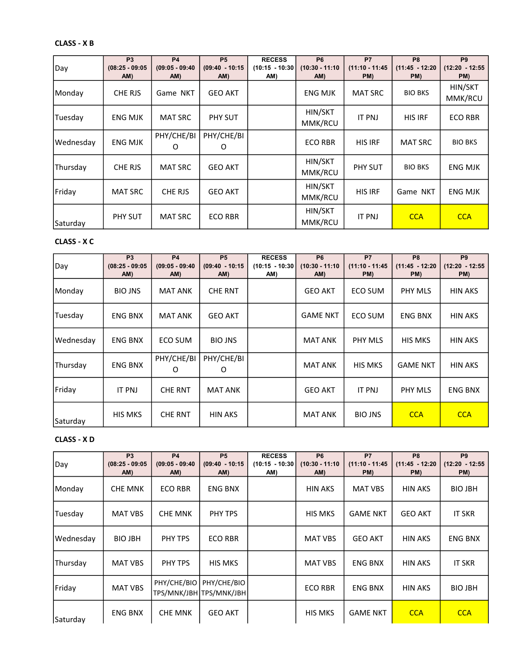## CLASS - X B

| Day       | P <sub>3</sub><br>$(08:25 - 09:05)$<br>AM) | <b>P4</b><br>$(09:05 - 09:40)$<br>AM) | <b>P5</b><br>$(09:40 - 10:15)$<br>AM) | <b>RECESS</b><br>$(10:15 - 10:30)$<br>AM) | P <sub>6</sub><br>$(10:30 - 11:10)$<br>AM) | <b>P7</b><br>$(11:10 - 11:45)$<br>PM) | P <sub>8</sub><br>$(11:45 - 12:20)$<br>PM) | P <sub>9</sub><br>(12:20 - 12:55<br>PM) |
|-----------|--------------------------------------------|---------------------------------------|---------------------------------------|-------------------------------------------|--------------------------------------------|---------------------------------------|--------------------------------------------|-----------------------------------------|
| Monday    | CHE RJS                                    | Game NKT                              | <b>GEO AKT</b>                        |                                           | <b>ENG MJK</b>                             | <b>MAT SRC</b>                        | <b>BIO BKS</b>                             | HIN/SKT<br>MMK/RCU                      |
| Tuesday   | <b>ENG MJK</b>                             | <b>MAT SRC</b>                        | PHY SUT                               |                                           | HIN/SKT<br>MMK/RCU                         | <b>IT PNJ</b>                         | <b>HIS IRF</b>                             | <b>ECO RBR</b>                          |
| Wednesday | <b>ENG MJK</b>                             | PHY/CHE/BI<br>O                       | PHY/CHE/BI<br>0                       |                                           | <b>ECO RBR</b>                             | <b>HIS IRF</b>                        | <b>MAT SRC</b>                             | <b>BIO BKS</b>                          |
| Thursday  | CHE RJS                                    | <b>MAT SRC</b>                        | <b>GEO AKT</b>                        |                                           | HIN/SKT<br>MMK/RCU                         | PHY SUT                               | <b>BIO BKS</b>                             | <b>ENG MJK</b>                          |
| Friday    | <b>MAT SRC</b>                             | CHE RJS                               | <b>GEO AKT</b>                        |                                           | HIN/SKT<br>MMK/RCU                         | <b>HIS IRF</b>                        | Game NKT                                   | <b>ENG MJK</b>                          |
| Saturday  | PHY SUT                                    | <b>MAT SRC</b>                        | <b>ECO RBR</b>                        |                                           | HIN/SKT<br>MMK/RCU                         | <b>IT PNJ</b>                         | <b>CCA</b>                                 | <b>CCA</b>                              |

## CLASS - X C

| Day       | P <sub>3</sub><br>$(08:25 - 09:05)$<br>AM) | <b>P4</b><br>$(09:05 - 09:40)$<br>AM) | <b>P5</b><br>$(09:40 - 10:15)$<br>AM) | <b>RECESS</b><br>$(10:15 - 10:30)$<br>AM) | P <sub>6</sub><br>$(10:30 - 11:10)$<br>AM) | P7<br>$(11:10 - 11:45)$<br>PM) | P <sub>8</sub><br>$(11:45 - 12:20)$<br>PM) | P <sub>9</sub><br>$(12:20 - 12:55$<br>PM) |
|-----------|--------------------------------------------|---------------------------------------|---------------------------------------|-------------------------------------------|--------------------------------------------|--------------------------------|--------------------------------------------|-------------------------------------------|
| Monday    | <b>BIO JNS</b>                             | <b>MAT ANK</b>                        | <b>CHE RNT</b>                        |                                           | <b>GEO AKT</b>                             | ECO SUM                        | PHY MLS                                    | <b>HIN AKS</b>                            |
| Tuesday   | <b>ENG BNX</b>                             | <b>MAT ANK</b>                        | <b>GEO AKT</b>                        |                                           | <b>GAME NKT</b>                            | ECO SUM                        | <b>ENG BNX</b>                             | <b>HIN AKS</b>                            |
| Wednesday | <b>ENG BNX</b>                             | ECO SUM                               | <b>BIO JNS</b>                        |                                           | MAT ANK                                    | <b>PHY MLS</b>                 | <b>HIS MKS</b>                             | <b>HIN AKS</b>                            |
| Thursday  | <b>ENG BNX</b>                             | PHY/CHE/BI<br>O                       | PHY/CHE/BI<br>0                       |                                           | <b>MAT ANK</b>                             | <b>HIS MKS</b>                 | <b>GAME NKT</b>                            | <b>HIN AKS</b>                            |
| Friday    | <b>IT PNJ</b>                              | <b>CHE RNT</b>                        | <b>MAT ANK</b>                        |                                           | <b>GEO AKT</b>                             | <b>IT PNJ</b>                  | PHY MLS                                    | <b>ENG BNX</b>                            |
| Saturday  | <b>HIS MKS</b>                             | <b>CHE RNT</b>                        | <b>HIN AKS</b>                        |                                           | <b>MAT ANK</b>                             | <b>BIO JNS</b>                 | <b>CCA</b>                                 | <b>CCA</b>                                |

### CLASS - X D

| Day       | <b>P3</b><br>$(08:25 - 09:05)$<br>AM) | <b>P4</b><br>$(09:05 - 09:40)$<br>AM) | <b>P5</b><br>$(09:40 - 10:15)$<br>AM)  | <b>RECESS</b><br>$(10:15 - 10:30)$<br>AM) | <b>P6</b><br>$(10:30 - 11:10)$<br>AM) | <b>P7</b><br>$(11:10 - 11:45)$<br>PM) | P <sub>8</sub><br>$(11:45 - 12:20)$<br>PM) | P <sub>9</sub><br>$(12:20 - 12:55$<br>PM) |
|-----------|---------------------------------------|---------------------------------------|----------------------------------------|-------------------------------------------|---------------------------------------|---------------------------------------|--------------------------------------------|-------------------------------------------|
| Monday    | <b>CHE MNK</b>                        | <b>ECO RBR</b>                        | <b>ENG BNX</b>                         |                                           | <b>HIN AKS</b>                        | <b>MAT VBS</b>                        | <b>HIN AKS</b>                             | <b>BIO JBH</b>                            |
| Tuesday   | MAT VBS                               | <b>CHE MNK</b>                        | PHY TPS                                |                                           | <b>HIS MKS</b>                        | <b>GAME NKT</b>                       | <b>GEO AKT</b>                             | <b>IT SKR</b>                             |
| Wednesday | <b>BIO JBH</b>                        | PHY TPS                               | <b>ECO RBR</b>                         |                                           | <b>MAT VBS</b>                        | <b>GEO AKT</b>                        | <b>HIN AKS</b>                             | <b>ENG BNX</b>                            |
| Thursday  | <b>MAT VBS</b>                        | PHY TPS                               | <b>HIS MKS</b>                         |                                           | <b>MAT VBS</b>                        | <b>ENG BNX</b>                        | <b>HIN AKS</b>                             | <b>IT SKR</b>                             |
| Friday    | <b>MAT VBS</b>                        | PHY/CHE/BIO                           | PHY/CHE/BIO<br>TPS/MNK/JBH TPS/MNK/JBH |                                           | <b>ECO RBR</b>                        | ENG BNX                               | <b>HIN AKS</b>                             | <b>BIO JBH</b>                            |
| Saturday  | ENG BNX                               | <b>CHE MNK</b>                        | <b>GEO AKT</b>                         |                                           | <b>HIS MKS</b>                        | <b>GAME NKT</b>                       | <b>CCA</b>                                 | <b>CCA</b>                                |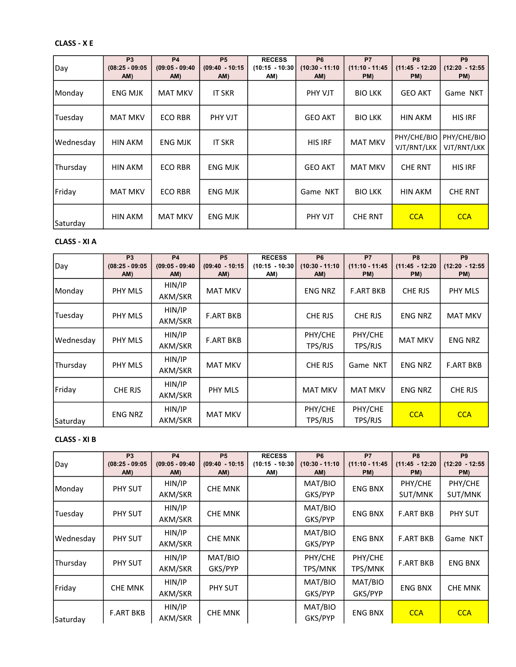# CLASS - X E

| Day       | P <sub>3</sub><br>$(08:25 - 09:05)$<br>AM) | <b>P4</b><br>$(09:05 - 09:40)$<br>AM) | <b>P5</b><br>$(09:40 - 10:15)$<br>AM) | <b>RECESS</b><br>$(10:15 - 10:30)$<br>AM) | P <sub>6</sub><br>$(10:30 - 11:10)$<br>AM) | P7<br>$(11:10 - 11:45)$<br>PM) | P <sub>8</sub><br>$(11:45 - 12:20)$<br>PM) | P <sub>9</sub><br>$(12:20 - 12:55$<br>PM) |
|-----------|--------------------------------------------|---------------------------------------|---------------------------------------|-------------------------------------------|--------------------------------------------|--------------------------------|--------------------------------------------|-------------------------------------------|
| Monday    | <b>ENG MJK</b>                             | <b>MAT MKV</b>                        | <b>IT SKR</b>                         |                                           | PHY VJT                                    | <b>BIO LKK</b>                 | <b>GEO AKT</b>                             | Game NKT                                  |
| Tuesday   | <b>MAT MKV</b>                             | <b>ECO RBR</b>                        | <b>PHY VJT</b>                        |                                           | <b>GEO AKT</b>                             | <b>BIO LKK</b>                 | <b>HIN AKM</b>                             | <b>HIS IRF</b>                            |
| Wednesday | HIN AKM                                    | <b>ENG MJK</b>                        | <b>IT SKR</b>                         |                                           | <b>HIS IRF</b>                             | <b>MAT MKV</b>                 | PHY/CHE/BIO<br>VJT/RNT/LKK                 | PHY/CHE/BIO<br>VJT/RNT/LKK                |
| Thursday  | HIN AKM                                    | <b>ECO RBR</b>                        | <b>ENG MJK</b>                        |                                           | <b>GEO AKT</b>                             | <b>MAT MKV</b>                 | <b>CHE RNT</b>                             | <b>HIS IRF</b>                            |
| Friday    | <b>MAT MKV</b>                             | <b>ECO RBR</b>                        | <b>ENG MJK</b>                        |                                           | Game NKT                                   | <b>BIO LKK</b>                 | <b>HIN AKM</b>                             | <b>CHE RNT</b>                            |
| Saturday  | HIN AKM                                    | <b>MAT MKV</b>                        | <b>ENG MJK</b>                        |                                           | PHY VJT                                    | <b>CHE RNT</b>                 | <b>CCA</b>                                 | <b>CCA</b>                                |

## CLASS - XI A

| Day       | P <sub>3</sub><br>$(08:25 - 09:05)$<br>AM) | <b>P4</b><br>$(09:05 - 09:40)$<br>AM) | <b>P5</b><br>$(09:40 - 10:15)$<br>AM) | <b>RECESS</b><br>$(10:15 - 10:30)$<br>AM) | <b>P6</b><br>$(10:30 - 11:10)$<br>AM) | <b>P7</b><br>$(11:10 - 11:45)$<br>PM) | P <sub>8</sub><br>$(11:45 - 12:20)$<br>PM) | P <sub>9</sub><br>$(12:20 - 12:55$<br>PM) |
|-----------|--------------------------------------------|---------------------------------------|---------------------------------------|-------------------------------------------|---------------------------------------|---------------------------------------|--------------------------------------------|-------------------------------------------|
| Monday    | PHY MLS                                    | HIN/IP<br>AKM/SKR                     | <b>MAT MKV</b>                        |                                           | <b>ENG NRZ</b>                        | <b>F.ART BKB</b>                      | <b>CHE RJS</b>                             | <b>PHY MLS</b>                            |
| Tuesday   | PHY MLS                                    | HIN/IP<br>AKM/SKR                     | <b>F.ART BKB</b>                      |                                           | CHE RJS                               | CHE RJS                               | <b>ENG NRZ</b>                             | <b>MAT MKV</b>                            |
| Wednesday | PHY MLS                                    | HIN/IP<br>AKM/SKR                     | <b>F.ART BKB</b>                      |                                           | PHY/CHE<br>TPS/RJS                    | PHY/CHE<br>TPS/RJS                    | <b>MAT MKV</b>                             | <b>ENG NRZ</b>                            |
| Thursday  | PHY MLS                                    | HIN/IP<br>AKM/SKR                     | <b>MAT MKV</b>                        |                                           | CHE RJS                               | Game NKT                              | <b>ENG NRZ</b>                             | <b>F.ART BKB</b>                          |
| Friday    | CHE RJS                                    | HIN/IP<br>AKM/SKR                     | <b>PHY MLS</b>                        |                                           | <b>MAT MKV</b>                        | <b>MAT MKV</b>                        | <b>ENG NRZ</b>                             | CHE RJS                                   |
| Saturday  | <b>ENG NRZ</b>                             | HIN/IP<br>AKM/SKR                     | <b>MAT MKV</b>                        |                                           | PHY/CHE<br>TPS/RJS                    | PHY/CHE<br>TPS/RJS                    | <b>CCA</b>                                 | <b>CCA</b>                                |

## CLASS - XI B

| Day       | <b>P3</b><br>$(08:25 - 09:05)$<br>AM) | <b>P4</b><br>$(09:05 - 09:40)$<br>AM) | <b>P5</b><br>$(09:40 - 10:15)$<br>AM) | <b>RECESS</b><br>$(10:15 - 10:30)$<br>AM) | <b>P6</b><br>$(10:30 - 11:10)$<br>AM) | <b>P7</b><br>$(11:10 - 11:45)$<br>PM) | P <sub>8</sub><br>$(11:45 - 12:20)$<br>PM) | P <sub>9</sub><br>$(12:20 - 12:55$<br>PM) |
|-----------|---------------------------------------|---------------------------------------|---------------------------------------|-------------------------------------------|---------------------------------------|---------------------------------------|--------------------------------------------|-------------------------------------------|
| Monday    | PHY SUT                               | HIN/IP<br>AKM/SKR                     | <b>CHE MNK</b>                        |                                           | MAT/BIO<br>GKS/PYP                    | <b>ENG BNX</b>                        | PHY/CHE<br>SUT/MNK                         | PHY/CHE<br>SUT/MNK                        |
| Tuesday   | PHY SUT                               | HIN/IP<br>AKM/SKR                     | <b>CHE MNK</b>                        |                                           | MAT/BIO<br>GKS/PYP                    | <b>ENG BNX</b>                        | <b>F.ART BKB</b>                           | PHY SUT                                   |
| Wednesday | PHY SUT                               | HIN/IP<br>AKM/SKR                     | <b>CHE MNK</b>                        |                                           | MAT/BIO<br>GKS/PYP                    | <b>ENG BNX</b>                        | <b>F.ART BKB</b>                           | Game NKT                                  |
| Thursday  | PHY SUT                               | HIN/IP<br>AKM/SKR                     | MAT/BIO<br>GKS/PYP                    |                                           | PHY/CHE<br>TPS/MNK                    | PHY/CHE<br>TPS/MNK                    | <b>F.ART BKB</b>                           | <b>ENG BNX</b>                            |
| Friday    | <b>CHE MNK</b>                        | HIN/IP<br>AKM/SKR                     | PHY SUT                               |                                           | MAT/BIO<br>GKS/PYP                    | MAT/BIO<br>GKS/PYP                    | <b>ENG BNX</b>                             | <b>CHE MNK</b>                            |
| Saturday  | <b>F.ART BKB</b>                      | HIN/IP<br>AKM/SKR                     | <b>CHE MNK</b>                        |                                           | MAT/BIO<br>GKS/PYP                    | <b>ENG BNX</b>                        | <b>CCA</b>                                 | <b>CCA</b>                                |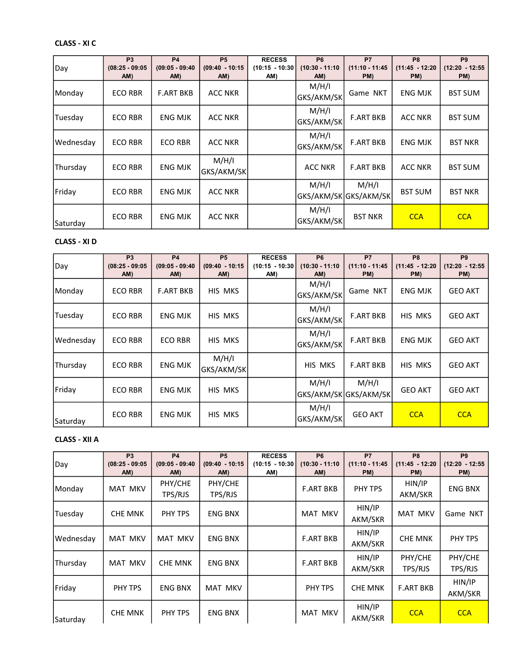# CLASS - XI C

| Day       | P <sub>3</sub><br>$(08:25 - 09:05)$<br>AM) | <b>P4</b><br>$(09:05 - 09:40)$<br>AM) | <b>P5</b><br>$(09:40 - 10:15)$<br>AM) | <b>RECESS</b><br>$(10:15 - 10:30)$<br>AM) | P <sub>6</sub><br>$(10:30 - 11:10)$<br>AM) | <b>P7</b><br>$(11:10 - 11:45)$<br>PM) | P <sub>8</sub><br>$(11:45 - 12:20)$<br>PM) | P <sub>9</sub><br>$(12:20 - 12:55$<br>PM) |
|-----------|--------------------------------------------|---------------------------------------|---------------------------------------|-------------------------------------------|--------------------------------------------|---------------------------------------|--------------------------------------------|-------------------------------------------|
| Monday    | <b>ECO RBR</b>                             | <b>F.ART BKB</b>                      | <b>ACC NKR</b>                        |                                           | M/H/I<br>GKS/AKM/SK                        | Game NKT                              | <b>ENG MJK</b>                             | <b>BST SUM</b>                            |
| Tuesday   | <b>ECO RBR</b>                             | <b>ENG MJK</b>                        | <b>ACC NKR</b>                        |                                           | M/H/I<br>GKS/AKM/SK                        | <b>F.ART BKB</b>                      | <b>ACC NKR</b>                             | <b>BST SUM</b>                            |
| Wednesday | <b>ECO RBR</b>                             | <b>ECO RBR</b>                        | <b>ACC NKR</b>                        |                                           | M/H/I<br>GKS/AKM/SK                        | <b>F.ART BKB</b>                      | <b>ENG MJK</b>                             | <b>BST NKR</b>                            |
| Thursday  | <b>ECO RBR</b>                             | <b>ENG MJK</b>                        | M/H/I<br>GKS/AKM/SK                   |                                           | <b>ACC NKR</b>                             | <b>F.ART BKB</b>                      | <b>ACC NKR</b>                             | <b>BST SUM</b>                            |
| Friday    | <b>ECO RBR</b>                             | <b>ENG MJK</b>                        | <b>ACC NKR</b>                        |                                           | M/H/I<br>GKS/AKM/SK GKS/AKM/SK             | M/H/I                                 | <b>BST SUM</b>                             | <b>BST NKR</b>                            |
| Saturdav  | <b>ECO RBR</b>                             | <b>ENG MJK</b>                        | <b>ACC NKR</b>                        |                                           | M/H/I<br>GKS/AKM/SK                        | <b>BST NKR</b>                        | <b>CCA</b>                                 | <b>CCA</b>                                |

R

## CLASS - XI D

| Day       | <b>P3</b><br>$(08:25 - 09:05)$<br>AM) | <b>P4</b><br>$(09:05 - 09:40)$<br>AM) | <b>P5</b><br>$(09:40 - 10:15)$<br>AM) | <b>RECESS</b><br>$(10:15 - 10:30)$<br>AM) | P <sub>6</sub><br>$(10:30 - 11:10)$<br>AM) | <b>P7</b><br>$(11:10 - 11:45)$<br>PM) | P <sub>8</sub><br>$(11:45 - 12:20)$<br>PM) | P <sub>9</sub><br>$(12:20 - 12:55$<br>PM) |
|-----------|---------------------------------------|---------------------------------------|---------------------------------------|-------------------------------------------|--------------------------------------------|---------------------------------------|--------------------------------------------|-------------------------------------------|
| Monday    | <b>ECO RBR</b>                        | <b>F.ART BKB</b>                      | HIS MKS                               |                                           | M/H/I<br>GKS/AKM/SK                        | Game NKT                              | <b>ENG MJK</b>                             | <b>GEO AKT</b>                            |
| Tuesday   | <b>ECO RBR</b>                        | <b>ENG MJK</b>                        | HIS MKS                               |                                           | M/H/I<br>GKS/AKM/SK                        | <b>F.ART BKB</b>                      | HIS MKS                                    | <b>GEO AKT</b>                            |
| Wednesday | <b>ECO RBR</b>                        | <b>ECO RBR</b>                        | HIS MKS                               |                                           | M/H/I<br>GKS/AKM/SK                        | <b>F.ART BKB</b>                      | <b>ENG MJK</b>                             | <b>GEO AKT</b>                            |
| Thursday  | <b>ECO RBR</b>                        | <b>ENG MJK</b>                        | M/H/I<br>GKS/AKM/SK                   |                                           | HIS MKS                                    | <b>F.ART BKB</b>                      | HIS MKS                                    | <b>GEO AKT</b>                            |
| Friday    | <b>ECO RBR</b>                        | <b>ENG MJK</b>                        | HIS MKS                               |                                           | M/H/I<br>GKS/AKM/SK GKS/AKM/SK             | M/H/I                                 | <b>GEO AKT</b>                             | <b>GEO AKT</b>                            |
| Saturday  | <b>ECO RBR</b>                        | <b>ENG MJK</b>                        | HIS MKS                               |                                           | M/H/I<br>GKS/AKM/SK                        | <b>GEO AKT</b>                        | <b>CCA</b>                                 | <b>CCA</b>                                |

#### CLASS - XII A

| Day       | <b>P3</b><br>$(08:25 - 09:05)$<br>AM) | <b>P4</b><br>$(09:05 - 09:40)$<br>AM) | <b>P5</b><br>$(09:40 - 10:15)$<br>AM) | <b>RECESS</b><br>$(10:15 - 10:30)$<br>AM) | <b>P6</b><br>$(10:30 - 11:10)$<br>AM) | <b>P7</b><br>$(11:10 - 11:45)$<br>PM) | P <sub>8</sub><br>$(11:45 - 12:20)$<br>PM) | P <sub>9</sub><br>$(12:20 - 12:55$<br>PM) |
|-----------|---------------------------------------|---------------------------------------|---------------------------------------|-------------------------------------------|---------------------------------------|---------------------------------------|--------------------------------------------|-------------------------------------------|
| Monday    | <b>MAT MKV</b>                        | PHY/CHE<br>TPS/RJS                    | PHY/CHE<br>TPS/RJS                    |                                           | <b>F.ART BKB</b>                      | PHY TPS                               | HIN/IP<br>AKM/SKR                          | <b>ENG BNX</b>                            |
| Tuesday   | <b>CHE MNK</b>                        | PHY TPS                               | <b>ENG BNX</b>                        |                                           | <b>MAT MKV</b>                        | HIN/IP<br>AKM/SKR                     | <b>MAT MKV</b>                             | Game NKT                                  |
| Wednesday | <b>MAT MKV</b>                        | <b>MAT MKV</b>                        | <b>ENG BNX</b>                        |                                           | <b>F.ART BKB</b>                      | HIN/IP<br>AKM/SKR                     | <b>CHE MNK</b>                             | PHY TPS                                   |
| Thursday  | <b>MAT MKV</b>                        | <b>CHE MNK</b>                        | <b>ENG BNX</b>                        |                                           | <b>F.ART BKB</b>                      | HIN/IP<br>AKM/SKR                     | PHY/CHE<br>TPS/RJS                         | PHY/CHE<br>TPS/RJS                        |
| Friday    | PHY TPS                               | <b>ENG BNX</b>                        | MAT MKV                               |                                           | PHY TPS                               | <b>CHE MNK</b>                        | <b>F.ART BKB</b>                           | HIN/IP<br>AKM/SKR                         |
| Saturday  | <b>CHE MNK</b>                        | PHY TPS                               | <b>ENG BNX</b>                        |                                           | <b>MAT MKV</b>                        | HIN/IP<br>AKM/SKR                     | <b>CCA</b>                                 | <b>CCA</b>                                |